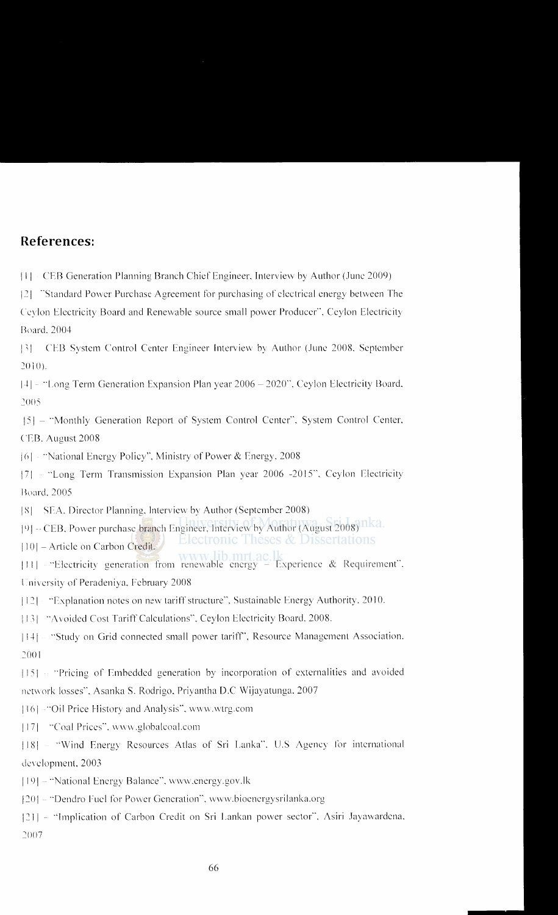#### **References:**

Ill CER Generation Planning Branch Chief Engineer. Interview by Author (.June 2009)

121 "Standard Power Purchase Agreement for purchasing of electrical energy between The Ceylon Electricity Board and Renewable source small power Producer", Ceylon Electricity Board. 2004

[3] CEB System Control Center Engineer Interview by Author (June 2008, September 2010).

I t I "Long Term Generation Expansion Plan year 2006- 2020". Ceylon Electricity Board. 2005

151 - "Monthly Generation Report of System Control Center"'. System Control Center. ( TB. August 2008

<sup>1</sup>(Jj "National Energy Policy", Ministry of Power & Energy. 2008

171 "Long Term Transmission Expansion Plan year 2006 -20 15", Ceylon Electricity Board, 2005

IS I SEA. Director Planning. Interview by Author (September 2008)

[9] - CEB, Power purchase branch Engineer, Interview by Author (August 2008) 11ka.

Electronic Theses & Dissertations [10] - Article on Carbon Credit.

III II - "Electricity generation from renewable energy - Experience & Requirement". University of Peradeniya, February 2008

[121 "Explanation notes on new tariff structure". Sustainable Energy Authority. 2010.

113 | "Avoided Cost Tariff Calculations". Ceylon Electricity Board, 2008.

[14 i "Study on Grid connected small power tariff', Resource Management Association. 2001

 $[15]$   $\cdots$  "Pricing of Embedded generation by incorporation of externalities and avoided network losses", Asanka S. Rodrigo, Priyantha D.C Wijayatunga. 2007

Jl6J "Oil Price History and Analysis''. wv\v\ .wtrg.com

[17] "Coal Prices". www.globalcoal.com

[18] - "Wind Energy Resources Atlas of Sri Lanka". U.S Agency for international development, 2003

[19] - "National Energy Balance", www.energy.gov.lk

1201 - "Dendro Fuel for Power Generation", www.bioenergysrilanka.org

1211 - "Implication of Carbon Credit on Sri Lankan power sector", Asiri Jayawardena. 2007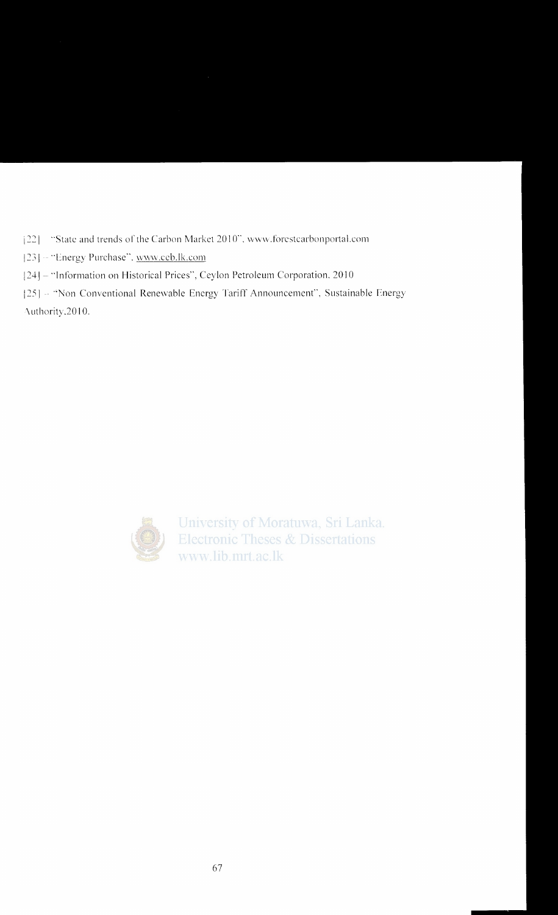[22] "State and trends of the Carbon Market 2010", www.forestcarbonportal.com

- [23] "Energy Purchase", www.ccb.lk.com
- [24] "Information on Historical Prices", Ceylon Petroleum Corporation, 2010

[25] - "Non Conventional Renewable Energy Tariff Announcement", Sustainable Energy Authority, 2010.



University of Moratuwa, Sri Lanka. **Electronic Theses & Dissertations** www.lib.mrt.ac.lk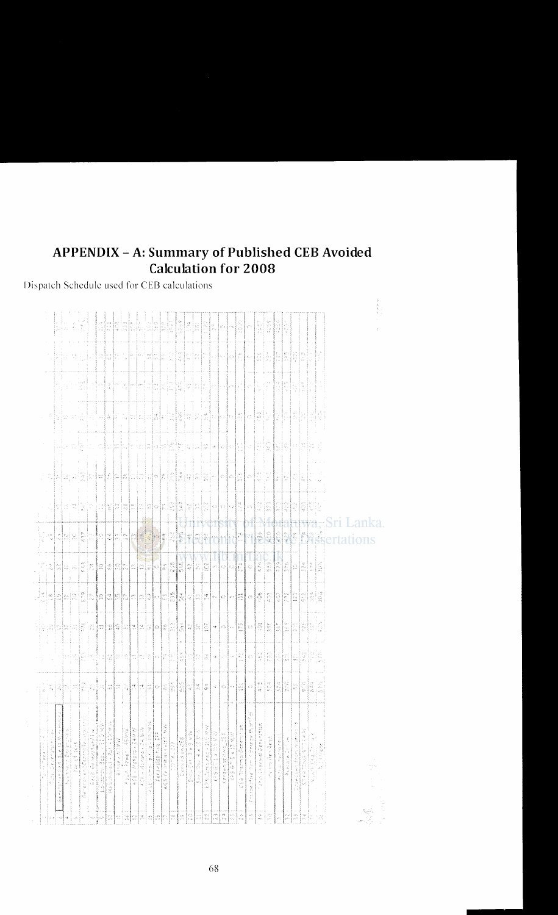## **APPENDIX - A: Summary of Published CEB Avoided Calculation for 2008**

#### Dispatch Schedule used for CEB calculations

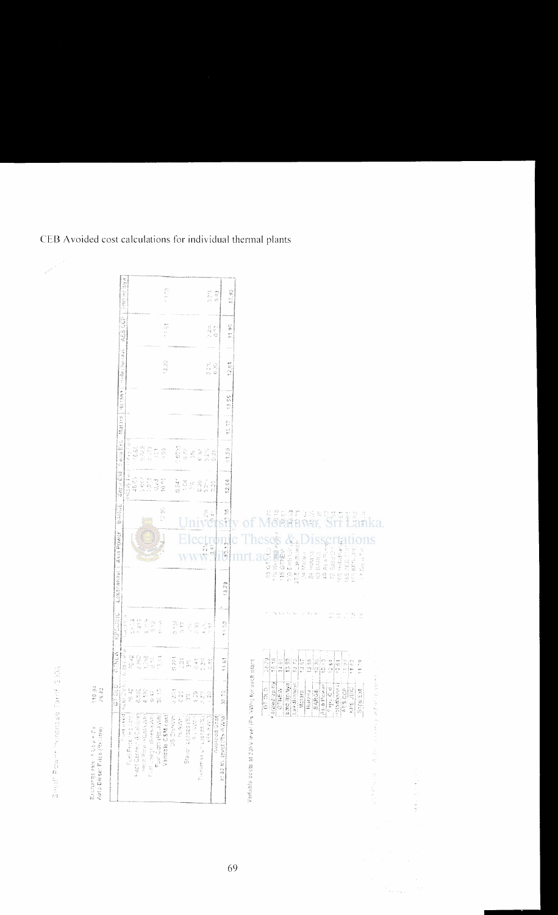| AES COP   Embiencias<br>4333<br>C)<br>Xe<br>A<br>ţ.<br><b>Helachanad</b><br>12.22<br>12.81<br>R<br>Ver<br>$\frac{1}{2}$ , $\frac{1}{2}$ , $\frac{1}{2}$ , $\frac{1}{2}$ , $\frac{1}{2}$ , $\frac{1}{2}$<br>$\frac{\zeta_{\rm c}^{\prime\prime}}{\zeta_{\rm c}^{\prime\prime}}$<br>m<br>t<br>Mariera<br>$\frac{d^2\gamma}{d\gamma^2}$<br>e)<br>R<br>Standard Exp<br><b>States</b><br>经成就<br>5.622<br>$\begin{array}{l} \mathcal{O} \\ \mathcal{O} \\ \mathcal{O} \\ \mathcal{O} \end{array} \begin{array}{l} \mathcal{O} \\ \mathcal{O} \\ \mathcal{O} \end{array}$<br>6018<br>in<br>An<br>$-122$<br>$3.2\%$<br>à<br>$\frac{1}{\sqrt{2}}$<br>ŝ<br>Exports of Archives<br>Saru Okl<br>1003<br>1003<br>1003<br>$\mathcal{L} \mathcal{L} \mathcal{L} \mathcal{I}$<br>$10\,$ eV.<br>0.24<br>22.54<br>ita<br>V<br>25<br>25<br>$\frac{1}{2}$<br>$\widetilde{\mathcal{C}}$<br>S |                                                                                                                       |
|-------------------------------------------------------------------------------------------------------------------------------------------------------------------------------------------------------------------------------------------------------------------------------------------------------------------------------------------------------------------------------------------------------------------------------------------------------------------------------------------------------------------------------------------------------------------------------------------------------------------------------------------------------------------------------------------------------------------------------------------------------------------------------------------------------------------------------------------------------------------------|-----------------------------------------------------------------------------------------------------------------------|
|                                                                                                                                                                                                                                                                                                                                                                                                                                                                                                                                                                                                                                                                                                                                                                                                                                                                         |                                                                                                                       |
|                                                                                                                                                                                                                                                                                                                                                                                                                                                                                                                                                                                                                                                                                                                                                                                                                                                                         |                                                                                                                       |
|                                                                                                                                                                                                                                                                                                                                                                                                                                                                                                                                                                                                                                                                                                                                                                                                                                                                         |                                                                                                                       |
|                                                                                                                                                                                                                                                                                                                                                                                                                                                                                                                                                                                                                                                                                                                                                                                                                                                                         |                                                                                                                       |
|                                                                                                                                                                                                                                                                                                                                                                                                                                                                                                                                                                                                                                                                                                                                                                                                                                                                         |                                                                                                                       |
|                                                                                                                                                                                                                                                                                                                                                                                                                                                                                                                                                                                                                                                                                                                                                                                                                                                                         |                                                                                                                       |
| <b>BARNE</b><br>$-25$<br>医急体<br>$\frac{1}{2}$<br><mark>ミクも</mark><br>型の部<br>$\frac{1}{2}$<br>兵<br>炮打<br>nia<br>Pilip<br>rin 1<br>Ķ.<br>er<br>K<br>line.<br>See<br>f.<br>î                                                                                                                                                                                                                                                                                                                                                                                                                                                                                                                                                                                                                                                                                               | 前位下<br>$-12.2$<br>出来る<br>一部分                                                                                          |
| Asia Power<br>170 Kerawa apin a<br>Н<br>100 Emblish<br>e<br>S<br>Service of the Service<br>e.<br>0.45<br>23.256<br>27.5 Laketones<br>23<br><b>CABA</b><br>Sabul Dir<br>Hiotana<br>BARUI<br>W                                                                                                                                                                                                                                                                                                                                                                                                                                                                                                                                                                                                                                                                            | 1<br><b>Ins</b><br>100 Heladromas<br>北京し SIAK est                                                                     |
| to Gripto<br><b>116 GTMENY</b><br>24 Matana<br>Lokaranavi<br>ž.<br>Q)<br>$\frac{1}{2}\sum_{i=1}^{n}$<br>ę.<br>13.73                                                                                                                                                                                                                                                                                                                                                                                                                                                                                                                                                                                                                                                                                                                                                     | THE KEYS JPET<br>$\mathbb{R}^3$ that is $\mathbb{T}[s]$                                                               |
| KASUSEIS<br>i an Innia<br>德国<br>r 415<br>$\sum_{i=1}^{n} \frac{1}{2} \sum_{i=1}^{n} \frac{1}{2} \sum_{i=1}^{n} \frac{1}{2} \sum_{i=1}^{n} \frac{1}{2} \sum_{i=1}^{n} \frac{1}{2} \sum_{i=1}^{n} \frac{1}{2} \sum_{i=1}^{n} \frac{1}{2} \sum_{i=1}^{n} \frac{1}{2} \sum_{i=1}^{n} \frac{1}{2} \sum_{i=1}^{n} \frac{1}{2} \sum_{i=1}^{n} \frac{1}{2} \sum_{i=1}^{n} \frac{1}{2} \sum_{i=1}^{n} \frac{1}{2$<br>00000000000000000000<br>io<br>S<br>担心地<br>大学 白会<br>$\frac{38}{20}$<br>数数据<br>g<br>S<br>S.<br>(人)<br>七代                                                                                                                                                                                                                                                                                                                                                      | $\frac{1}{2}$<br>$\mathbb{Z}^2$<br>÷,<br>$\frac{\partial \mathcal{L}}{\partial \mathcal{L}}$                          |
| <b>Allah Matana</b><br>全部乱动场<br>ASSESSED<br>$70,62$<br>$\begin{array}{l} \mathcal{L}_2 \otimes \mathcal{L}_1 \\ \mathcal{L}_2 \otimes \mathcal{L}_2 \\ \mathcal{L}_3 \otimes \mathcal{L}_3 \otimes \mathcal{L}_4 \\ \mathcal{L}_5 \otimes \mathcal{L}_6 \otimes \mathcal{L}_7 \end{array}$<br>13.84<br>$\widetilde{\Omega}$<br>14.61<br>$\frac{28.79}{16.18}$<br>alejelo<br>Helelo<br>8 22 a<br>ं में<br>$\begin{bmatrix} 1 & 0 \\ 0 & 0 \\ 0 & 0 \end{bmatrix}$<br>in<br>Si<br>$\frac{1}{2}$<br>$\frac{57}{65}$<br>$\frac{8}{10}$<br>28.82                                                                                                                                                                                                                                                                                                                             | $\frac{1}{2}$<br>17.61<br>1199                                                                                        |
| Emplinitival<br><b>KOUWOWEN</b><br>Lakdhanavi!<br>ು<br>ರ<br>Abia Power<br>Capu Cid<br>切留<br>8.8%<br>SARGE<br>$\begin{bmatrix} 1 & 0 \\ 0 & 1 \end{bmatrix}$<br>0.273<br>Horzna<br>Matara<br>$\frac{1}{2}$<br>$38 - 12$<br>inga<br>Kua<br>$\mathbb{S}^2$<br>e ze<br>$\widehat{z}$<br>ze.<br>Pr                                                                                                                                                                                                                                                                                                                                                                                                                                                                                                                                                                           | Addddassex<br><b>KPS JBIC</b><br>ags cdp<br>Sapu Ext                                                                  |
| Vasiable conservation in the NRT is dealer<br>Protest asset( Autor Digital<br>Heat Center: A California<br>Puel Price (Racital)<br>Variable CSM cost<br>US Ciekste<br>Five Cost (Ro Ikrith)<br>at 33 KV (ever (Pre AQVI))<br>Mest Para (RCollectar<br>Post Jason (Breakty)<br>$\label{eq:2} \mathcal{C}(\mathcal{P}) \geq \mathcal{C}(\mathcal{P}) \geq \mathcal{C}(\mathcal{P})$<br>经未决定<br>Avoiced Cost<br>178 (家会社)<br>Starton Leed (E.)<br>Transfer 64 Unic baces (2)                                                                                                                                                                                                                                                                                                                                                                                               | provided by the Maximum and the control of the control of the control of the control of the control of the control of |

Ĵ, i<br>G

 $\epsilon_{\rm{beam}}$ 

CEB Avoided cost calculations for individual thermal plants

 $\left|\frac{\partial}{\partial x_i}\right|^{1/2}$ 

 $(10.93)$ 

anamgo mini (USA = Pel<br>Aina Dinsel Pilne (Relites)

69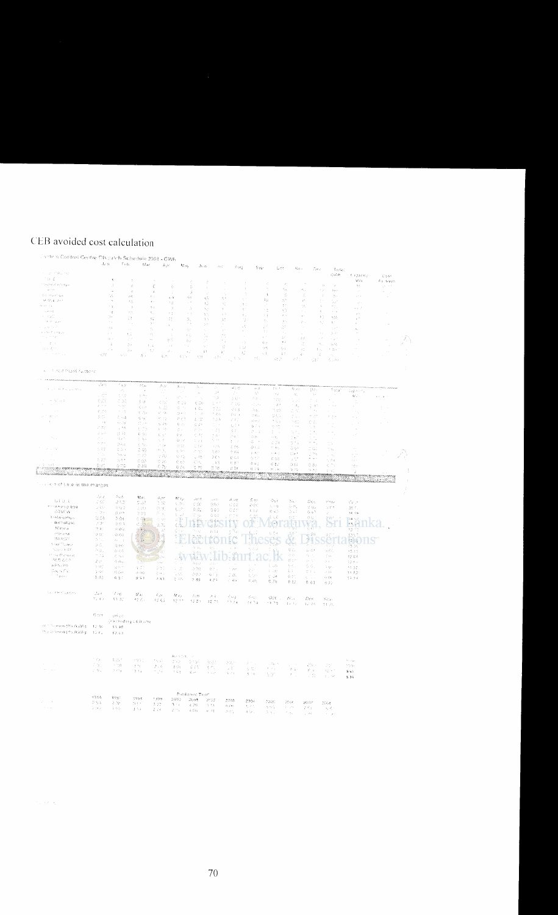# CEB avoided cost calculation

|  |  |  |  |  | - 17th a Control Gentre Ofscalch Schedule 2008 - CW |
|--|--|--|--|--|-----------------------------------------------------|
|--|--|--|--|--|-----------------------------------------------------|

| iciana control Gentre Discalido Schedule 2003 - CWI,<br>$\epsilon = \pm \epsilon \gg g_{\rm{max}}$ , $\epsilon_{\rm{max}}$<br>$\mathcal{C}(\mathcal{C})$                                                                                                                                                                                                                                                                                                                          | $\langle \hat{A}_{\mathbf{a}} \hat{e}(\mathbf{r}) \rangle$              | $\mathbb{P}_{3\times 3\mathbb{N}}$ .                              | Mar                                                                                                                                       | $\mathcal{L}_{\mathbf{A}}$ is:                                                      | $M_{\rm 180}$                                                               | $\beta\alpha\alpha$                                       | $\mathcal{J}(\mathcal{C})$                                                                    | $\mathcal{E}(\mathbf{x} \mathbf{y})$           | 郭徽                                                                         | Qer.                                                              |                                                                                      | $\mathcal{K}_{\mathbf{P} \mathbf{Q} \mathbf{P} \mathbf{P} \mathbf{P} \mathbf{P} \mathbf{P} \mathbf{P}$                                                                                                                                                                                                                                                                          | Dec.                           | Teta:<br>$\bigcirc \varphi / \mathfrak{b}$                                | $\epsilon$ against $\epsilon$                              |                              | $\zeta \otimes \xi$ t    |                             |
|-----------------------------------------------------------------------------------------------------------------------------------------------------------------------------------------------------------------------------------------------------------------------------------------------------------------------------------------------------------------------------------------------------------------------------------------------------------------------------------|-------------------------------------------------------------------------|-------------------------------------------------------------------|-------------------------------------------------------------------------------------------------------------------------------------------|-------------------------------------------------------------------------------------|-----------------------------------------------------------------------------|-----------------------------------------------------------|-----------------------------------------------------------------------------------------------|------------------------------------------------|----------------------------------------------------------------------------|-------------------------------------------------------------------|--------------------------------------------------------------------------------------|---------------------------------------------------------------------------------------------------------------------------------------------------------------------------------------------------------------------------------------------------------------------------------------------------------------------------------------------------------------------------------|--------------------------------|---------------------------------------------------------------------------|------------------------------------------------------------|------------------------------|--------------------------|-----------------------------|
| the area of sufficiency                                                                                                                                                                                                                                                                                                                                                                                                                                                           |                                                                         | $\mathcal{R}$<br>J.                                               | $\rightarrow$<br>$\langle \cdot \rangle$                                                                                                  | $\zeta$                                                                             |                                                                             | Ŷ,                                                        | ÷                                                                                             | $\gamma$                                       | $\mathcal{L}$                                                              | $\mathcal{L}^{\pm}_{\mathcal{L}}$                                 | $\mathcal{L}$                                                                        |                                                                                                                                                                                                                                                                                                                                                                                 | $\pm\pm$                       |                                                                           | $\mathcal{O}(\mathcal{C})$                                 |                              | Rando Ve<br>10000        |                             |
| $\gamma_{\rm{eff}}$ and $\gamma_{\rm{eff}}$                                                                                                                                                                                                                                                                                                                                                                                                                                       |                                                                         | $\bar{\psi}$                                                      | $\mathcal{A}_i$                                                                                                                           | $\mathcal{R}$                                                                       | $\xi$<br>$\hat{\mathcal{L}}$                                                | ă<br>Å                                                    | $\pm$                                                                                         |                                                | $\hat{\chi}$                                                               | $\mathcal{C}_i$                                                   | $\mathcal{E}_{\mathcal{A}_1}$                                                        | K,                                                                                                                                                                                                                                                                                                                                                                              | $\epsilon_{\rm cr}$            | Spot.                                                                     | $\mathcal{L}$                                              |                              |                          |                             |
| $\gamma_{\sigma,1}=\pi_{\sigma,2}(\alpha^{\alpha},\eta_{\mu})_{\sigma}$                                                                                                                                                                                                                                                                                                                                                                                                           |                                                                         | W                                                                 | $\mathcal{O}(\hat{Y})$                                                                                                                    | $\mathcal{E}_i$ :                                                                   | $\approx$ %                                                                 | $\leq$ $z$                                                | $\mathcal{U}^{\mathcal{A}}_{\mathcal{A}}$                                                     | $\theta_{\rm c}$ is<br>$\mathcal{L}^{\pm}$     |                                                                            | $\lambda$                                                         | ÷.                                                                                   | $\mathcal{T}_i$                                                                                                                                                                                                                                                                                                                                                                 | $\mathcal{L}$                  | $\Sigma_{\rm P}$                                                          | $\gamma \simeq 1$                                          |                              | $\sim$                   |                             |
| $\lambda\, \widetilde{r}$ of $\mathcal{E}_1(\mathbf{y})$ , $\mathcal{S}(\mathbf{y})$                                                                                                                                                                                                                                                                                                                                                                                              |                                                                         | $\epsilon$                                                        | 3.O                                                                                                                                       | $\mathbf{Q}$ .                                                                      | ÷ø.                                                                         | , v                                                       | $\Sigma_{\rm c}$                                                                              | τŗ.                                            | ŧ.                                                                         | $\overline{\mathbb{Q}}$                                           | 83                                                                                   | $\mathcal{C}^{\prime}$                                                                                                                                                                                                                                                                                                                                                          | $\mathcal{V}$ .                | $\mathbb{Z}^{2}$                                                          | $\vec{q}^{\prime}$ :                                       |                              |                          |                             |
| $\mathcal{Q}^{\pm}$ and $\mathcal{Q}^{\pm}$<br>$\rightarrow$ $\sigma$ $\gamma$ $\eta$                                                                                                                                                                                                                                                                                                                                                                                             |                                                                         | ÷.                                                                | $\rightarrow$                                                                                                                             | $\mathcal{H}_{\mathcal{A}}$                                                         | $\mathcal{A}$                                                               | $\hat{\boldsymbol{x}}$                                    | ÷.<br>$\gamma_{\rm{q}}$                                                                       |                                                | ÷.                                                                         | $\sim$ $\sim$                                                     | $\mathbb{R}^{d}$<br>30th                                                             | cc.                                                                                                                                                                                                                                                                                                                                                                             | $\epsilon_{\rm r}$<br>$\gamma$ | An I<br>$\sim$ $\sim$                                                     | $\sim$ 7                                                   |                              |                          |                             |
| $\gamma \rightarrow \gamma_{\rm eff} \gamma_{\rm eff}^{\rm 2D}$                                                                                                                                                                                                                                                                                                                                                                                                                   |                                                                         | $\sim 2$<br>34                                                    | $\gamma$ $\sim$                                                                                                                           | $\mathcal{E}_\perp$                                                                 | 15                                                                          | $\epsilon \rightarrow$                                    | $\langle \cdot, \cdot \rangle$                                                                | $\chi/\zeta$                                   | š.                                                                         | $\sim$ 3                                                          | $\mathbf{p} \rightarrow \mathbf{p}$                                                  | $\alpha$ .                                                                                                                                                                                                                                                                                                                                                                      | 33                             |                                                                           | $\lambda$                                                  |                              | $\sim$                   |                             |
| $\alpha$ , $\beta=\beta_{\rm max}$ ,                                                                                                                                                                                                                                                                                                                                                                                                                                              |                                                                         | $\sim$ $\alpha$                                                   | 78<br>т.,                                                                                                                                 | $\mathcal{U}$                                                                       | Ŧ.                                                                          | ă,                                                        | $\eta \propto$                                                                                | $\chi^{\alpha}_{\nu}$                          | 1)                                                                         | $\mathcal{C}_{\mathcal{C}}$ .                                     | y.                                                                                   | A.                                                                                                                                                                                                                                                                                                                                                                              | $\sim$                         | $\mathcal{N} \subseteq \mathcal{S}$<br>$\bar{\gamma}$ :                   | $_{\rm e}$ .<br>$\gamma$                                   |                              |                          |                             |
| a na sa talat                                                                                                                                                                                                                                                                                                                                                                                                                                                                     |                                                                         | n e                                                               |                                                                                                                                           | $\mathcal{R}$<br>h.                                                                 | $\epsilon$<br>$\rightarrow$                                                 |                                                           | $>7$<br>$\gamma$                                                                              |                                                | $\rho \beta_0$                                                             | $\zeta^{(2)}$                                                     | 21                                                                                   | $\sim$                                                                                                                                                                                                                                                                                                                                                                          |                                | $\sim$                                                                    | $\alpha_{\rm c}$                                           |                              | $\hat{a}$                |                             |
| a coste made                                                                                                                                                                                                                                                                                                                                                                                                                                                                      |                                                                         | $\pm$ $\pm$                                                       | $\mathbb{E}[\mathcal{I}]$                                                                                                                 | $\mathcal{A}^{\pm}_{\mathcal{A}}$                                                   | $\chi$                                                                      | $\gamma\cdot$                                             | $\chi^2$<br>÷.                                                                                | $\chi$                                         |                                                                            | $\bar{z}$ :                                                       |                                                                                      |                                                                                                                                                                                                                                                                                                                                                                                 | $\mathcal{L}_{\mathcal{A}}$    | $\lambda^{(1)}$                                                           | $\bar{\bar{\nu}}$                                          |                              |                          |                             |
| $\gamma_{\rm eff}$ and $\gamma_{\rm eff}$                                                                                                                                                                                                                                                                                                                                                                                                                                         |                                                                         | $\gamma_{\rm N}$ .                                                | $\mathcal{I}^{\mathcal{A}}$                                                                                                               | $\alpha_1$                                                                          | $\mathbb{R}^{n\times n}$                                                    | $\ell$ $\ell_j$<br>$\frac{d}{2} \, \epsilon_2$            | $\mathbb{R}^n$                                                                                | УĄ.<br>Ŷ,                                      | ×                                                                          | $\chi \rightarrow$                                                | $\geq 7$                                                                             | $\frac{1}{2}$ $\frac{1}{2}$                                                                                                                                                                                                                                                                                                                                                     | $\sim$ $\sim$                  | $\sim 10^{-6}$                                                            | $\lambda$                                                  |                              | $\alpha$                 | $\langle \tilde{A} \rangle$ |
| $\gamma = 2\pi\pi$                                                                                                                                                                                                                                                                                                                                                                                                                                                                |                                                                         | $\sim$                                                            | $\mathbb{S}^1$                                                                                                                            | $l\perp\hat{\omega}$                                                                | $\pm 5$                                                                     | × .                                                       | $\gamma_{\rm c}$ .                                                                            | $\S^{\rm G}_\pm$<br>$\div\pm2$                 | k 9                                                                        | $\mathbb{C}\ni$                                                   | $\gamma$ s                                                                           | W                                                                                                                                                                                                                                                                                                                                                                               | $\tau_{\rm{tot}}$              | 326                                                                       |                                                            |                              | $\sim$                   |                             |
| 北京都市<br>$\beta$ , where $\gamma_{\rm{max}}$                                                                                                                                                                                                                                                                                                                                                                                                                                       |                                                                         | $\sim$ 10                                                         | $\tilde{\mathcal{S}}$ is                                                                                                                  | t.                                                                                  | $\mathcal{J}_{\mathcal{A}}$ .                                               | $\propto \frac{1}{2}$                                     | $2.7\,$<br>$\alpha^+$                                                                         | $\epsilon_{\rm v}$                             |                                                                            | -9.6<br>$\sim 1$                                                  | $\ell_2$ (<br>A3.                                                                    | $\mathcal{L}_{\text{eff}}^{\text{int}}$                                                                                                                                                                                                                                                                                                                                         | $\sharp \, \pi_{\alpha}$       | $\sim 10 \times 1$                                                        | $\bar{\nu}$ .                                              |                              | $\sim$                   | $\sim$                      |
|                                                                                                                                                                                                                                                                                                                                                                                                                                                                                   | $\epsilon \mathcal{I} \ell$                                             | $\eta(\vec{r}_1,1)$                                               | A .                                                                                                                                       | 高光                                                                                  | 改正ない                                                                        | 3,981                                                     | 3.75                                                                                          | $\mathcal{R}=\mathcal{R}_\mathrm{c}$<br>$\sim$ | $\mathcal{L}(\mathcal{A})$                                                 | 48.27                                                             | 337                                                                                  | $\zeta$ :                                                                                                                                                                                                                                                                                                                                                                       | $\beta$<br>San I               | $\alpha_{\rm{eff}}$<br>6588                                               |                                                            |                              |                          | $\cdot$                     |
| $\phi=\pi$ , $\eta$ of Chard $\vec{\tau}_{\rm eff, RNN}$                                                                                                                                                                                                                                                                                                                                                                                                                          |                                                                         |                                                                   |                                                                                                                                           |                                                                                     |                                                                             |                                                           |                                                                                               |                                                |                                                                            |                                                                   |                                                                                      |                                                                                                                                                                                                                                                                                                                                                                                 |                                |                                                                           |                                                            |                              |                          | ÷,                          |
|                                                                                                                                                                                                                                                                                                                                                                                                                                                                                   | ومهران                                                                  | $^{\mathcal{C}}\ll\mathcal{J}$                                    | $\omega_i^{\rm LMS}$                                                                                                                      | $\mathcal{Z}_{\text{c},22}$                                                         | $\beta_1,\ldots,$                                                           | $\mathcal{V}_{\mathrm{L},\mathrm{L},\mathrm{L}}$          | ÷.                                                                                            | $\mathcal{A}\subset\mathcal{C}$                |                                                                            |                                                                   |                                                                                      |                                                                                                                                                                                                                                                                                                                                                                                 |                                |                                                                           |                                                            |                              |                          |                             |
| dealers with a large speci-                                                                                                                                                                                                                                                                                                                                                                                                                                                       | $\mathcal{L} \in \mathbb{R}^{N \times N}$                               | $\mathcal{M}_{\rm{c}}$<br>$1/\sqrt{2}$                            | $\sim 4$<br>$\alpha$ , $\alpha\alpha$ ,                                                                                                   | Ŧ                                                                                   | $\sim$                                                                      | $\mathbb{C}^{\times}$                                     | χċ                                                                                            | $\zeta^{\prime}$ .                             | $\langle\psi\rangle^A_{\mu\nu}$<br>$\mathcal{I}_j^{(N)}$                   | 757<br>$\epsilon$ $\rho$                                          | $\mathcal{P}_{\mathcal{X}^{\prime},\mathcal{X}^{\prime},\mathcal{C}}$<br>$\approx$ ; | $\bigcup_{i=1}^n \bigcup_{i=1}^n \bigcup_{i=1}^n \bigcup_{i=1}^n \bigcup_{i=1}^n \bigcup_{i=1}^n \bigcup_{i=1}^n \bigcup_{i=1}^n \bigcup_{i=1}^n \bigcup_{i=1}^n \bigcup_{i=1}^n \bigcup_{i=1}^n \bigcup_{i=1}^n \bigcup_{i=1}^n \bigcup_{i=1}^n \bigcup_{i=1}^n \bigcup_{i=1}^n \bigcup_{i=1}^n \bigcup_{i=1}^n \bigcup_{i=1}^n \bigcup_{i=1}^n \bigcup_{i=1}^n$<br>$\gamma$ . |                                | 2.558                                                                     | Capach,                                                    |                              |                          |                             |
| $\kappa\in\mathbb{Q}^m$ , $\mu$ ,<br>if                                                                                                                                                                                                                                                                                                                                                                                                                                           | 6.21                                                                    | CDT.                                                              |                                                                                                                                           |                                                                                     | $\mu \sim 10^{-11}$                                                         | t in                                                      | n ge                                                                                          | $\mathbb{P}(V)$                                | $\mathcal{P}(\mathcal{Q})$ .                                               | 18                                                                | t v                                                                                  | p.                                                                                                                                                                                                                                                                                                                                                                              |                                |                                                                           | $\mathbb{R}^d$ , $\mathbb{C}$ .                            |                              | $\omega = \omega$        |                             |
|                                                                                                                                                                                                                                                                                                                                                                                                                                                                                   | $\rho\to\lambda$                                                        | m, per                                                            | $\mathbb{S}\backslash \mathbb{Q}$<br>$\chi^2_{\rm eff} \gtrsim 2$                                                                         | る次                                                                                  | $C\gtrsim 5$                                                                | $\mathbb{C} \times$                                       | $\lesssim 20\%$                                                                               | $\mathcal{E}\in\mathcal{C}_{\mathcal{E}}$      | $\alpha$ is a sec-                                                         | $\mathcal{A}^{-1}$                                                | Γđς                                                                                  | $\mathbb{C}^{\times} \mathbb{C}^1$                                                                                                                                                                                                                                                                                                                                              |                                | k is                                                                      | $\mathbb{Z}_p$                                             |                              |                          |                             |
| $\sim$                                                                                                                                                                                                                                                                                                                                                                                                                                                                            | $\mathcal{C}^{1,1,0}(\mathcal{C})$                                      | $\gamma \rightarrow \gamma$                                       | $\mathcal{X} \cup \mathcal{Y}_0$ .                                                                                                        | $\mathbb{F}_p$ . $\mathbb{F}_p$<br>$\varphi^{\alpha} \in \mathcal{G}_{\mathcal{M}}$ | 8 m<br>$\mathbb{Q} \leq 1$                                                  | $\mathfrak{h}\cdot\mathfrak{h}_{\mathfrak{m}}$<br>$1 - 8$ | 330                                                                                           | $\vec{u}^{\prime} \in \vec{\mathcal{R}}$       | $\hat{\beta}$ is .                                                         | n gis                                                             | č, št                                                                                |                                                                                                                                                                                                                                                                                                                                                                                 | $\sim$ $\mu$                   | $\epsilon = 1$                                                            | $\sim$                                                     |                              | $\mathbb{C}^{n\times n}$ |                             |
| $-0.5$ $\sim$                                                                                                                                                                                                                                                                                                                                                                                                                                                                     | B O                                                                     | $\mathcal{E}_1, \cdots, \mathcal{Z}_k$                            | $\mathbb{Q}\times_{\mathbb{R}}$                                                                                                           | $C\left( \frac{1}{2}\right)$                                                        | 受力性                                                                         | $\mathcal{L} \subset \mathcal{L}$                         | $^{\rm o}$ gus<br>17.5                                                                        | $\{1,3,\ldots\}$<br>3000                       | $\langle \cdot \rangle \langle \mathbf{r}_1 \rangle$                       | 930                                                               | Days                                                                                 | $\alpha_{\rm c}$ and                                                                                                                                                                                                                                                                                                                                                            |                                | $\hat{\nu} = \hat{\nu}$ , $\hat{\nu}$                                     | $\sim$ $_{\star}$                                          |                              |                          |                             |
| $\sim$                                                                                                                                                                                                                                                                                                                                                                                                                                                                            | $\rightarrow$ $\sigma$                                                  | 32,264                                                            | 21.59                                                                                                                                     | $\sim$ 78                                                                           | $\mathbb{Q}^{\times}$ . $\mathbb{Z}^{\times}$                               | 0.24                                                      | ti i                                                                                          | $\eta_{\rm c} \lesssim 1$                      | $\varphi_2^{\pm}$ er $\varphi_1^{\pm}$                                     | $\sigma_{\rm 3,5}$                                                | $\sim$ $\sigma_{\rm c}$<br>$\epsilon$ - $\kappa$ ).                                  | Ci.                                                                                                                                                                                                                                                                                                                                                                             |                                | $\gamma_{\rm{in}}$                                                        | $\tau$ .                                                   |                              | $\alpha = 0.1$           |                             |
|                                                                                                                                                                                                                                                                                                                                                                                                                                                                                   | a ma                                                                    | $\tau^{\rm (kg)}$                                                 | $\lesssim 100$                                                                                                                            | $\chi=1.6$                                                                          | $\mathbb{S}\times$                                                          | $\mathcal{E}^{\alpha}$ , $\mathcal{D}^{\alpha}$           | 33                                                                                            | 87.                                            | Đi s<br>$\mathcal{O}(\tau)$ .                                              | $\mathcal{Y}_1 \cong \mathcal{Y}_1$<br>$\frac{1}{2}=-\frac{1}{2}$ | the c                                                                                | o e                                                                                                                                                                                                                                                                                                                                                                             |                                | $\sim$                                                                    | $\sim$                                                     |                              |                          |                             |
| $\epsilon_{\rm{max}}$                                                                                                                                                                                                                                                                                                                                                                                                                                                             | $\zeta_1^* \lesssim 1$                                                  | (1.5.5)                                                           | 0.163                                                                                                                                     | $\tilde{\chi}^0_1 \equiv \tilde{\chi}^0_1$                                          | $\mathbb{P}^1(\mathcal{E})$                                                 | $\mathcal{L} \cdot \mathcal{E}$                           | $\mathcal{O}^{(k)}_{\mathcal{O}^{(k)}}$                                                       | $f\in \mathfrak{g}^{-1}$                       | $\mathbb{C}^{\mathbb{C}}(\mathbb{N})$                                      | $\alpha$ - $\alpha$ .                                             | ba)                                                                                  | dia.                                                                                                                                                                                                                                                                                                                                                                            |                                | $\sim$                                                                    | $\sim 7$                                                   |                              |                          |                             |
|                                                                                                                                                                                                                                                                                                                                                                                                                                                                                   | Z.<br>$\mathcal{S}_\mathcal{S}$ . As in                                 | 19,972<br>ORG.                                                    | $\gamma$ , $\gamma_{\rm{max}}$<br>at est                                                                                                  | $\chi \to$                                                                          | 数元                                                                          | $1\leq j\leq l$                                           |                                                                                               | $\tau = \tau$                                  | $\zeta^{(n)}$                                                              | 0.74                                                              | tin S                                                                                | ÷,                                                                                                                                                                                                                                                                                                                                                                              |                                | $\sigma_{\rm eff}$                                                        |                                                            |                              |                          |                             |
| $\alpha \sim 10^{10}$ k $^2$                                                                                                                                                                                                                                                                                                                                                                                                                                                      | 1.27                                                                    |                                                                   |                                                                                                                                           | $\mathcal{F}^{(1)}(g)$                                                              | $\mathcal{L}^{\alpha}_{\mathcal{L}}$ , $\mathcal{L}^{\alpha}_{\mathcal{L}}$ | エネマ                                                       | $\sim$ 2.4.                                                                                   | $\zeta \in \mathcal{C}_\lambda$                | $\hat{G}$ ), $\hat{\omega}$                                                | $\mathcal{V} \in \mathcal{C}_{\mathcal{N},\mathcal{N}}$           | $\hat{\phi}$ - $\hat{\phi}$ ?                                                        | $\mathcal{C}(\mathcal{C}_{\mathcal{S}})$                                                                                                                                                                                                                                                                                                                                        |                                | $\gamma/\kappa_{\rm c}$                                                   | 15                                                         |                              |                          |                             |
|                                                                                                                                                                                                                                                                                                                                                                                                                                                                                   | 大阪                                                                      | $\mathbb{Q} \cdot \mathbb{Z} \rightarrow$<br>Google               | $\stackrel{\scriptstyle \Delta}{\scriptstyle \sim}$ - $\stackrel{\scriptstyle \Delta}{\scriptstyle \sim}$ )<br>$\psi \not\in \mathcal{G}$ | $\mathbb{C}^{\times}$ ( $\mathbb{C}^{\times}$                                       | $\zeta_1$ to .                                                              | $\mathcal{D}^{n-1}(\mathcal{C})$                          | $\stackrel{\scriptstyle <}{\scriptstyle \sim}$ $\stackrel{\scriptstyle <}{\scriptstyle \sim}$ | $\mathcal{C}^{\mathcal{C}}(\mathcal{G})$       | $\mathbb{S}^{1\times 1}$                                                   | $\left\{ \tau \in \mathbb{R}^{n-1} \right\}$                      | $(1 - 4)$                                                                            | $\mathbb{Z}^{d\times d}$                                                                                                                                                                                                                                                                                                                                                        |                                | $\tau > \tau_0$                                                           | $\mathcal{E}_{\mu\nu}^{\mu\nu}$                            |                              | $\mathbb{R}^2$           |                             |
|                                                                                                                                                                                                                                                                                                                                                                                                                                                                                   | 8.73                                                                    | $\bar{\beta}(\bar{\beta})^{\bar{\alpha}}$                         | 6.63                                                                                                                                      | $\tau$ 70<br>$\mathcal{O}(\sqrt{2} \delta)$                                         | $\mathcal{Q}^{\prime}$ , $\mathcal{Q}^{\prime}_{\mathcal{Q}}$<br>03         | $\pi^{(3\frac{1}{2})}$                                    | $\geqslant \xi$ .                                                                             | $\xi^{\perp} \xi A$                            | 有害の                                                                        | € 58                                                              | $\pm$ $\stackrel{<}{\sim}$                                                           | $\bar{N}$ , $\bar{N}$ , $\bar{N}$                                                                                                                                                                                                                                                                                                                                               |                                | $\gamma_{\mu\nu}$ which                                                   | $\gamma \propto \gamma$                                    |                              |                          |                             |
| $\sim \sim 1$                                                                                                                                                                                                                                                                                                                                                                                                                                                                     | e et                                                                    | 6.70                                                              | 0.28                                                                                                                                      | $\langle \cdot \rangle$                                                             | $\mathbb{Q}$ ( $\varepsilon$                                                | $\zeta^*_i \ni \xi_i$<br>4.24                             | , $\tilde{\mathbf{x}}$ ).<br>$\mathcal{O} \subset \mathcal{O}$                                | 83,977<br>$\gtrsim 3.6$                        | è e c<br>$\{1,3,5\}$                                                       | $-3.3.7$                                                          | 032                                                                                  | $\widetilde{C}_i \cdot \widetilde{C}_j$ ,                                                                                                                                                                                                                                                                                                                                       |                                | $\mathbb{C}^{n\times n}$ :                                                | sp.,                                                       |                              |                          |                             |
|                                                                                                                                                                                                                                                                                                                                                                                                                                                                                   |                                                                         |                                                                   |                                                                                                                                           |                                                                                     |                                                                             |                                                           |                                                                                               |                                                |                                                                            | $53 - 736$                                                        | 3.79                                                                                 | 13, 250                                                                                                                                                                                                                                                                                                                                                                         |                                |                                                                           |                                                            |                              |                          | ł                           |
| <u> 1999 - Andreasta Santan Santa Anggota da</u>                                                                                                                                                                                                                                                                                                                                                                                                                                  |                                                                         | man                                                               | mm                                                                                                                                        | SM roman sa                                                                         |                                                                             | <u>na sa manang</u>                                       | um                                                                                            | <u> Manasa Matangan sa Pa</u>                  |                                                                            | A MARA                                                            | itorne                                                                               | ,,,,,,,,,,                                                                                                                                                                                                                                                                                                                                                                      |                                | $\tau \sim 10^{-3}$<br><b>Robert Comment</b>                              | V                                                          |                              |                          |                             |
|                                                                                                                                                                                                                                                                                                                                                                                                                                                                                   |                                                                         |                                                                   |                                                                                                                                           |                                                                                     | a ka Soroma ka makaliku k                                                   |                                                           |                                                                                               | allandina                                      | an an                                                                      |                                                                   |                                                                                      |                                                                                                                                                                                                                                                                                                                                                                                 |                                |                                                                           |                                                            | a waka a kasance na katika m |                          |                             |
| cocken of this in the margin<br><b>SIUR</b>                                                                                                                                                                                                                                                                                                                                                                                                                                       | Jack.<br>4,60                                                           | $\mathcal{S}_{\mathcal{M}}$<br>设立艺                                | $\mathcal{M}_{\mathcal{A}}$ :                                                                                                             |                                                                                     | $\mathbb{R}^s$ ty                                                           | $\mathcal{M}/f$                                           | $\omega$ 172                                                                                  | $\mathcal{L}_{\text{CMB}}$                     | $f_1^{\mu\nu}$ where                                                       | $\odot_{\mathbb{Q}}$ :                                            | $\sum_{i\in I}$ .                                                                    |                                                                                                                                                                                                                                                                                                                                                                                 |                                | $\gamma^{\prime}\!\approx\!\chi_{\beta^{\prime}}$                         | $\mathcal{C}_{\mathcal{R}^{\prime}\rightarrow\mathcal{C}}$ |                              |                          |                             |
|                                                                                                                                                                                                                                                                                                                                                                                                                                                                                   |                                                                         | 数数支                                                               | 7.02                                                                                                                                      | $\frac{\mathbb{A}\mathbb{A}^{\sigma}}{\mathbb{S}^{\sigma}}$                         | $\lesssim 5\%$                                                              | 可保                                                        | 登記                                                                                            | C.C.G                                          | $\langle \cdot \rangle$ ( ) (                                              | $1.14\%$                                                          | $\gamma \ll \zeta$                                                                   | $\mathbb{D}_{\mathrm{UC}}$<br>$\lesssim M_{\odot}$                                                                                                                                                                                                                                                                                                                              |                                | $\mathbb{C}$ ( $^{\circ}$                                                 | 38.71                                                      |                              |                          |                             |
| minus and base<br><b>GTMFW</b>                                                                                                                                                                                                                                                                                                                                                                                                                                                    | $\varphi(\xi\eta)$<br>$i = 12, 3$                                       | 8.02                                                              | $\mathbb{C} \backslash \mathbb{C}$<br>2.00                                                                                                | $\{ \lambda_j \}_{j=1}^N$                                                           | $\xi_{\mu\nu}(\vec{r})$                                                     | $\odot$ $\odot$                                           | 0.60                                                                                          | ö (r                                           | 4.3.3                                                                      | $\in$ 4.3                                                         | $\mathbb{C}^2 \times \mathbb{C}$                                                     | 640                                                                                                                                                                                                                                                                                                                                                                             |                                | 2.                                                                        | $\gamma\in\mathcal{A}_0$                                   |                              |                          |                             |
| E-edgligati <sub>vit</sub>                                                                                                                                                                                                                                                                                                                                                                                                                                                        | 3.04                                                                    | $5.04$                                                            | $C-C_{12}$                                                                                                                                | $\mathbb{P}^{\mathbb{P}_2}$ .<br>近隣                                                 | $\frac{1-\omega}{1+\omega}$                                                 | $\mathbb{C}$ (as                                          | 3.33                                                                                          | $\zeta^+$ ( $\lesssim$                         |                                                                            | $\Lambda\subseteq\mathbb{C}$                                      | $\mathbb{Q}(\mathbb{Q})$                                                             | $\mathcal{O}(\mathcal{G})$                                                                                                                                                                                                                                                                                                                                                      |                                | ær.                                                                       | $-3.85 - 1.7$                                              |                              |                          |                             |
| - Bucharigua                                                                                                                                                                                                                                                                                                                                                                                                                                                                      | 20                                                                      | $\langle \cdot \rangle$ ( $\gamma$                                | は少な                                                                                                                                       | $\mathcal{G},\mathcal{N}$                                                           | C Sc                                                                        |                                                           |                                                                                               |                                                | 渝                                                                          |                                                                   |                                                                                      |                                                                                                                                                                                                                                                                                                                                                                                 |                                |                                                                           |                                                            |                              |                          |                             |
| Natura                                                                                                                                                                                                                                                                                                                                                                                                                                                                            | 作業)                                                                     | 33,970                                                            |                                                                                                                                           | 高石                                                                                  | first and                                                                   | ng es<br>La est<br>$\gamma_{\alpha\beta\gamma}$           |                                                                                               |                                                |                                                                            | $\sum_{i=1}^{n}$                                                  | U.                                                                                   | <b>Vya</b>                                                                                                                                                                                                                                                                                                                                                                      |                                | M                                                                         | 32.11                                                      | <u>läänka.</u>               |                          |                             |
| $\mathcal{O}(p_{\rm eff}n_{\rm B})$                                                                                                                                                                                                                                                                                                                                                                                                                                               | $\Im\ \Im$                                                              | $\otimes$ Co                                                      | 31310<br>$\frac{1}{3}$ and                                                                                                                | $\Sigma$ $\Sigma$                                                                   |                                                                             | 参加:十                                                      | etsity<br>表色                                                                                  |                                                |                                                                            |                                                                   |                                                                                      |                                                                                                                                                                                                                                                                                                                                                                                 |                                |                                                                           | $\Omega\lesssim 7$                                         |                              |                          |                             |
| $\mathcal{D}_\alpha f_\alpha \otimes \gamma_\beta^* \mathcal{G}$                                                                                                                                                                                                                                                                                                                                                                                                                  | УG,                                                                     | $\mathbb{R}_F = \mathbb{Q}$                                       | $\sim 1.3$                                                                                                                                | $\mathbb{R} \cup \mathbb{R}$                                                        | ÈE                                                                          | ucu                                                       | $6 - 9$                                                                                       | nic                                            |                                                                            | $k \cap \rho$ CAC                                                 | $\mathcal{Q}^c_{\overline{k}}$                                                       | ja.                                                                                                                                                                                                                                                                                                                                                                             |                                | öí                                                                        |                                                            | $\mathfrak{so}(118)$         |                          |                             |
| Albert Thompson                                                                                                                                                                                                                                                                                                                                                                                                                                                                   | D.C.                                                                    | 3.655                                                             |                                                                                                                                           | $\mathcal{O}(\epsilon)$                                                             |                                                                             | $\alpha$ $\mu_s$                                          |                                                                                               | $\gamma = \chi$                                |                                                                            |                                                                   |                                                                                      |                                                                                                                                                                                                                                                                                                                                                                                 |                                |                                                                           | 35.36                                                      |                              |                          |                             |
| $\mathcal{H}_\text{G}(\mathcal{G})$ of $A$ , $\mathcal{G}(\mathcal{G})$<br>Productional as                                                                                                                                                                                                                                                                                                                                                                                        | Ag,                                                                     | 金寿彦                                                               |                                                                                                                                           | $\frac{1}{2}$ (cf)                                                                  |                                                                             |                                                           |                                                                                               |                                                |                                                                            |                                                                   | $\mathcal{C}\subset\mathcal{C}$<br>$\tau^{\rm c}_1(\cdot)$                           | $\omega \gtrsim 5$<br>今日                                                                                                                                                                                                                                                                                                                                                        |                                | $\tau_2$ (Fig.                                                            | 35.10                                                      |                              |                          |                             |
| As sleeps.                                                                                                                                                                                                                                                                                                                                                                                                                                                                        | $\sim$ $_{\odot}$ $_{\odot}$<br>$\mathcal{J} \in \mathbb{R}$            | $\mathcal{C}^{-1}$ in $\mathbb{C}$<br>$P_{\rm c}$ . $P_{\rm CFT}$ |                                                                                                                                           | $\mathcal{O}(\mathbb{R}^3)$                                                         | $\sqrt{\sqrt{2}}$                                                           |                                                           | ww.lib.m                                                                                      |                                                |                                                                            |                                                                   | Bibli                                                                                | $\mathcal{D}^{\mathcal{A}}(\mathcal{A})$                                                                                                                                                                                                                                                                                                                                        |                                | $f(\lambda_N)$<br>$\pm$ and $\pm$                                         | 32.68                                                      |                              |                          |                             |
| $\mathcal{D}_n$ for $\mathcal{D}_n$ , $\mathcal{D}_n$ , $\mathcal{D}_n$                                                                                                                                                                                                                                                                                                                                                                                                           | $\left\langle \cdot \right\rangle$ ( $\left\langle \cdot \right\rangle$ | $\zeta^{\pm}_\mu \in \mathbb{R}^{n \times n}$                     | $\frac{1}{8}$<br>0.00                                                                                                                     | $\pm$ cs $^{\prime}$                                                                |                                                                             | 作自己                                                       | ∄¢.                                                                                           | $\sim$                                         | $1-\beta$                                                                  | t.ac.lik<br>$\hat{\gamma}_i = \sqrt{\gamma}_j$                    | $\psi \in \mathcal{A}$                                                               | $G \oplus$                                                                                                                                                                                                                                                                                                                                                                      |                                | $\tilde{\gamma}(\tilde{\chi}_{\tilde{f}})$ .                              | $\mathbb{F}_p^n \geq \mathbb{F}_{p^m}$<br><b>15.33</b>     |                              |                          |                             |
| $\mathcal{Z}_{\mathcal{O}_{\mathcal{M}}\cap\mathcal{E}}\subseteq\mathcal{E}_{\mathcal{M}}$                                                                                                                                                                                                                                                                                                                                                                                        | $\mathcal{Y} \in \mathbb{R}^N$                                          | $\mathcal{C}^{\pm}_{\mathcal{G}}(\mathcal{L})$                    | $\{ \frac{1}{2} \in \mathbb{R} \}$                                                                                                        | 341<br>Ost.                                                                         | $\zeta\in\mathbb{N}$                                                        | 0.es                                                      | $\theta$ 7 $\times$                                                                           | t gen                                          | $\zeta^{\prime}$ , $\zeta^{\prime}$                                        | $\gamma_{\rm{max}}$                                               | $\mathbb{E}_{\mathcal{F}}$ (                                                         | $\mathbb{C}^{\mathbb{N}}$ if $\mathbb{N}$                                                                                                                                                                                                                                                                                                                                       |                                | $\mathcal{O}(\mathcal{E}^{\mathrm{d}})$                                   | 53.82                                                      |                              |                          |                             |
| Techt.                                                                                                                                                                                                                                                                                                                                                                                                                                                                            | $9\,, 9\,\rm J$                                                         | 合変化                                                               | (2, 3, 7)                                                                                                                                 | 3.8.3                                                                               | $\sim$ 0%<br>長田市                                                            | 303                                                       | $\omega \in \chi$<br>$n \neq n$                                                               | $\stackrel{\sim}{_\sim}$ (3),                  | 3.093                                                                      | $\lesssim 1.4$                                                    | $\Omega \cdot \nabla \cdot$                                                          | $\zeta = \zeta$ .                                                                                                                                                                                                                                                                                                                                                               |                                | $\mathcal{E}_T \in \mathcal{U}_T$                                         | $5.3 - 3.9$                                                |                              |                          |                             |
|                                                                                                                                                                                                                                                                                                                                                                                                                                                                                   |                                                                         |                                                                   |                                                                                                                                           |                                                                                     |                                                                             | 3.89                                                      |                                                                                               | $\lesssim$ -8%                                 | $\mathbb{C}$ , $\mathbb{R}^3$                                              | 0.78                                                              | 0.51                                                                                 | \$ 83                                                                                                                                                                                                                                                                                                                                                                           |                                | $6.3\%$                                                                   |                                                            |                              |                          |                             |
|                                                                                                                                                                                                                                                                                                                                                                                                                                                                                   | $\mathcal{L}_{\text{eff}}(\mathcal{A})$<br>$\Sigma_{\rm A} \ll \rho$    | $\mathcal{E}(\partial \mathcal{Q})$                               | $\mathbb{S}^3_{\alpha}$ is a                                                                                                              | $\mathcal{E}_{\rm{c},\rm{M}}$                                                       | May                                                                         | $f(\cdot; t)$                                             | $\mathcal{F}\colon \mathcal{G}$                                                               | $\alpha_{Vg}$                                  | $\sum_i \cdot v_{\frac{i}{2}}$ :                                           | <b>Oct.</b>                                                       | $\mathcal{E} \mathcal{E}(\mathcal{E})$                                               | $\mathcal{D}_{\mathcal{C}}$ .                                                                                                                                                                                                                                                                                                                                                   |                                | Yeş.                                                                      |                                                            |                              |                          |                             |
|                                                                                                                                                                                                                                                                                                                                                                                                                                                                                   |                                                                         | $9.3\,$ :3.7                                                      | 经无比                                                                                                                                       | 40.63                                                                               | 52.77                                                                       | 12.23                                                     | 32.73                                                                                         | $\rightarrow$ $>$ $_{\rm 2.4}$                 | $\mathbb{C} \subset \mathbb{C}^{\times}$ .                                 | 13.75                                                             | $2\times10^5$                                                                        | \$2.28                                                                                                                                                                                                                                                                                                                                                                          |                                | 3.8.76                                                                    |                                                            |                              |                          |                             |
| For 1989 Cappens                                                                                                                                                                                                                                                                                                                                                                                                                                                                  | Corre                                                                   | price.                                                            |                                                                                                                                           |                                                                                     |                                                                             |                                                           |                                                                                               |                                                |                                                                            |                                                                   |                                                                                      |                                                                                                                                                                                                                                                                                                                                                                                 |                                |                                                                           |                                                            |                              |                          |                             |
|                                                                                                                                                                                                                                                                                                                                                                                                                                                                                   |                                                                         | (nechodista distinguista)                                         |                                                                                                                                           |                                                                                     |                                                                             |                                                           |                                                                                               |                                                |                                                                            |                                                                   |                                                                                      |                                                                                                                                                                                                                                                                                                                                                                                 |                                |                                                                           |                                                            |                              |                          |                             |
|                                                                                                                                                                                                                                                                                                                                                                                                                                                                                   | -12.36                                                                  | $t \in \Phi R$                                                    |                                                                                                                                           |                                                                                     |                                                                             |                                                           |                                                                                               |                                                |                                                                            |                                                                   |                                                                                      |                                                                                                                                                                                                                                                                                                                                                                                 |                                |                                                                           |                                                            |                              |                          |                             |
|                                                                                                                                                                                                                                                                                                                                                                                                                                                                                   |                                                                         | \$2.53                                                            |                                                                                                                                           |                                                                                     |                                                                             |                                                           |                                                                                               |                                                |                                                                            |                                                                   |                                                                                      |                                                                                                                                                                                                                                                                                                                                                                                 |                                |                                                                           |                                                            |                              |                          |                             |
|                                                                                                                                                                                                                                                                                                                                                                                                                                                                                   |                                                                         |                                                                   |                                                                                                                                           |                                                                                     |                                                                             |                                                           |                                                                                               |                                                |                                                                            |                                                                   |                                                                                      |                                                                                                                                                                                                                                                                                                                                                                                 |                                |                                                                           |                                                            |                              |                          |                             |
|                                                                                                                                                                                                                                                                                                                                                                                                                                                                                   | n ey                                                                    | $\sum_{\lambda} \frac{1}{\lambda}$                                | $\pm\frac{1}{2}\frac{1}{2}\frac{1}{2}$ .                                                                                                  | $\gamma_{\rm DM}$                                                                   | $K \times \gamma$ paper                                                     | $\mathcal{L}$                                             |                                                                                               |                                                |                                                                            |                                                                   |                                                                                      |                                                                                                                                                                                                                                                                                                                                                                                 |                                |                                                                           | $\sim$ $\sim$ $_{\rm p}$                                   |                              |                          |                             |
|                                                                                                                                                                                                                                                                                                                                                                                                                                                                                   | $\mathbb{P}(\mathbb{R})$                                                | 大气容                                                               | $\frac{1}{2}$ $N_{\rm H}$ .                                                                                                               |                                                                                     | $2.5\,\mu$ .<br>3.05                                                        | 3336<br>377                                               | $\mathcal{H}(\mathcal{A})$                                                                    | 23.1                                           | $\mathbb{R}^{d-1}$ .                                                       | 10500                                                             | $\mu \rightarrow \nu$                                                                | $\chi_{\rm{eff}}^{\rm{M}}/\chi_{\rm{eff}}$ ).                                                                                                                                                                                                                                                                                                                                   |                                | $\mathcal{Z}^{\text{reg}}$                                                | $\mathcal{P}^{\mu\nu}_{\mu\nu}$                            |                              |                          |                             |
|                                                                                                                                                                                                                                                                                                                                                                                                                                                                                   | 2w                                                                      | $\beta \in \mathbb{R}^n$ ,                                        | 3.31                                                                                                                                      | $\mathbb{Z} \times \mathbb{R}$<br>$\mathcal{I}=\mathcal{I}_{\mathcal{I}}$ .         | $\mathbb{R}^n \leq \mathbb{R}^{n+1}$                                        | 6.11                                                      | $\leq \gamma$<br>$\lambda \rightarrow \mu \gamma$                                             | $>$ $^3_\odot$<br>$\mathbf{y} \neq \mathbf{y}$ | $\mathcal{V}_\mathrm{r}$ , $\mathcal{V}_\mathrm{r}$ ,<br>$\xi \geq \infty$ | $\delta \gg \frac{1}{2}$ .<br>$\lesssim 3^{\circ}$                | $2 - 5 +$<br>$\mathcal{V}_{\mathcal{A}}$                                             | $\vec{Y} \cdot \vec{u}$<br>$\mathcal{F}^{(2)}_{\text{max}}$                                                                                                                                                                                                                                                                                                                     |                                | $\mathcal{C}^{\alpha}_{\mu\nu} \neq 0$<br>$\mathbb{F}_q \cap \mathcal{Q}$ | $\frac{1}{2}$ is $\frac{1}{2}$<br>8.34                     |                              |                          |                             |
|                                                                                                                                                                                                                                                                                                                                                                                                                                                                                   |                                                                         |                                                                   |                                                                                                                                           |                                                                                     |                                                                             |                                                           |                                                                                               |                                                |                                                                            |                                                                   |                                                                                      |                                                                                                                                                                                                                                                                                                                                                                                 |                                |                                                                           |                                                            |                              |                          |                             |
|                                                                                                                                                                                                                                                                                                                                                                                                                                                                                   | 1356                                                                    | 1993                                                              | 3938                                                                                                                                      | $\frac{1}{2}$ )<br>with                                                             | 2495                                                                        | Published Teeth                                           |                                                                                               |                                                |                                                                            |                                                                   |                                                                                      |                                                                                                                                                                                                                                                                                                                                                                                 |                                |                                                                           |                                                            |                              |                          |                             |
| $\label{eq:G} \mathcal{C} \mathcal{E}^{(1)} = \left[ \mathcal{C}_{\mathcal{C}} \left( \mathcal{L}_{\mathcal{M}} \left( \mathcal{Q}_{\mathcal{R}} \right) \right) \right] \mathcal{D} \left( \mathcal{L}_{\mathcal{M}} \left( \mathcal{Q}_{\mathcal{R}} \right) \mathcal{Q}_{\mathcal{R}} \right) \right] \, .$<br>they beneficial physicial property in the pro-<br>$\alpha = 1$ , $\alpha$<br>$\alpha = 1, \alpha$ .<br>$\mathbb{R}^2$ , $\mathbb{R}^2$<br>$\epsilon_{\rm{max}}$ | 2.93<br>2.162                                                           | 3.39<br>$\langle \cdot, \cdot \rangle_{\mathbb{Z}_2}$             | 33.5<br>$\chi \propto z$                                                                                                                  | $2.2\%$<br>2, 74                                                                    | $\eta \rightarrow \phi$<br>$\mathbb{P}^{\mathbb{P}^n}$ is                   | 2091 2092<br>$a \gg$                                      | $\lesssim 5.8$                                                                                | 1503<br>$\psi_2$ ( $\psi_2$                    | 2256<br>大学生                                                                | 3000<br>$\mathcal{O}(\mathcal{O}_\mathcal{C})$                    | 2606<br>$\{-\gamma^{(1)}\}$                                                          | 2007<br>$\mathcal{Z}^{\mathcal{L}}(E_{1,2})$                                                                                                                                                                                                                                                                                                                                    | 2068                           | $\mathcal{R}_\mathrm{p}=\mathcal{R}_\mathrm{p}$                           |                                                            |                              |                          |                             |